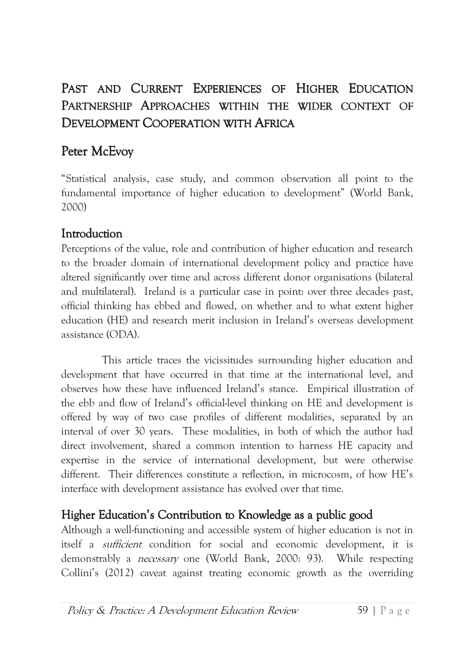# PAST AND CURRENT EXPERIENCES OF HIGHER EDUCATION PARTNERSHIP APPROACHES WITHIN THE WIDER CONTEXT OF **DEVELOPMENT COOPERATION WITH AFRICA**

## Peter McEvoy

"Statistical analysis, case study, and common observation all point to the fundamental importance of higher education to development" (World Bank, 2000)

### Introduction

Perceptions of the value, role and contribution of higher education and research to the broader domain of international development policy and practice have altered significantly over time and across different donor organisations (bilateral and multilateral). Ireland is a particular case in point: over three decades past, official thinking has ebbed and flowed, on whether and to what extent higher education (HE) and research merit inclusion in Ireland's overseas development assistance  $(ODA)$ .

This article traces the vicissitudes surrounding higher education and development that have occurred in that time at the international level, and observes how these have influenced Ireland's stance. Empirical illustration of the ebb and flow of Ireland's official-level thinking on HE and development is offered by way of two case profiles of different modalities, separated by an interval of over 30 years. These modalities, in both of which the author had direct involvement, shared a common intention to harness HE capacity and expertise in the service of international development, but were otherwise different. Their differences constitute a reflection, in microcosm, of how HE's interface with development assistance has evolved over that time.

# Higher Education's Contribution to Knowledge as a public good

Although a well-functioning and accessible system of higher education is not in itself a *sufficient* condition for social and economic development, it is demonstrably a *necessary* one (World Bank, 2000: 93). While respecting Collini's (2012) caveat against treating economic growth as the overriding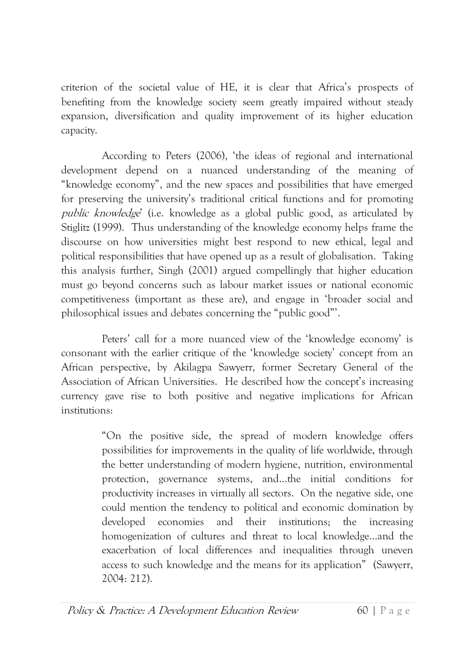criterion of the societal value of HE, it is clear that Africa's prospects of benefiting from the knowledge society seem greatly impaired without steady expansion, diversification and quality improvement of its higher education capacity.

According to Peters (2006), 'the ideas of regional and international development depend on a nuanced understanding of the meaning of "knowledge economy", and the new spaces and possibilities that have emerged for preserving the university's traditional critical functions and for promoting *public knowledge* (i.e. knowledge as a global public good, as articulated by Stiglitz (1999). Thus understanding of the knowledge economy helps frame the discourse on how universities might best respond to new ethical, legal and political responsibilities that have opened up as a result of globalisation. Taking this analysis further, Singh (2001) argued compellingly that higher education must go beyond concerns such as labour market issues or national economic competitiveness (important as these are), and engage in 'broader social and philosophical issues and debates concerning the "public good"'.

Peters' call for a more nuanced view of the 'knowledge economy' is consonant with the earlier critique of the 'knowledge society' concept from an African perspective, by Akilagpa Sawyerr, former Secretary General of the Association of African Universities. He described how the concept's increasing currency gave rise to both positive and negative implications for African institutions:

> "On the positive side, the spread of modern knowledge offers possibilities for improvements in the quality of life worldwide, through the better understanding of modern hygiene, nutrition, environmental protection, governance systems, and...the initial conditions for productivity increases in virtually all sectors. On the negative side, one could mention the tendency to political and economic domination by developed economies and their institutions: the increasing homogenization of cultures and threat to local knowledge...and the exacerbation of local differences and inequalities through uneven access to such knowledge and the means for its application" (Sawyerr, 2004: 212).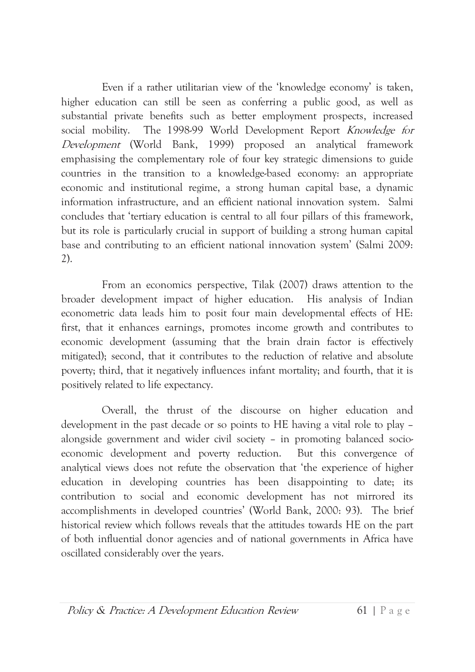Even if a rather utilitarian view of the 'knowledge economy' is taken, higher education can still be seen as conferring a public good, as well as substantial private benefits such as better employment prospects, increased The 1998-99 World Development Report Knowledge for social mobility. Development (World Bank, 1999) proposed an analytical framework emphasising the complementary role of four key strategic dimensions to guide countries in the transition to a knowledge-based economy: an appropriate economic and institutional regime, a strong human capital base, a dynamic information infrastructure, and an efficient national innovation system. Salmi concludes that 'tertiary education is central to all four pillars of this framework, but its role is particularly crucial in support of building a strong human capital base and contributing to an efficient national innovation system' (Salmi 2009:  $2)$ .

From an economics perspective. Tilak (2007) draws attention to the broader development impact of higher education. His analysis of Indian econometric data leads him to posit four main developmental effects of HE: first, that it enhances earnings, promotes income growth and contributes to economic development (assuming that the brain drain factor is effectively mitigated); second, that it contributes to the reduction of relative and absolute poverty; third, that it negatively influences infant mortality; and fourth, that it is positively related to life expectancy.

Overall, the thrust of the discourse on higher education and development in the past decade or so points to HE having a vital role to play alongside government and wider civil society - in promoting balanced socioeconomic development and poverty reduction. But this convergence of analytical views does not refute the observation that 'the experience of higher education in developing countries has been disappointing to date; its contribution to social and economic development has not mirrored its accomplishments in developed countries' (World Bank, 2000: 93). The brief historical review which follows reveals that the attitudes towards HE on the part of both influential donor agencies and of national governments in Africa have oscillated considerably over the years.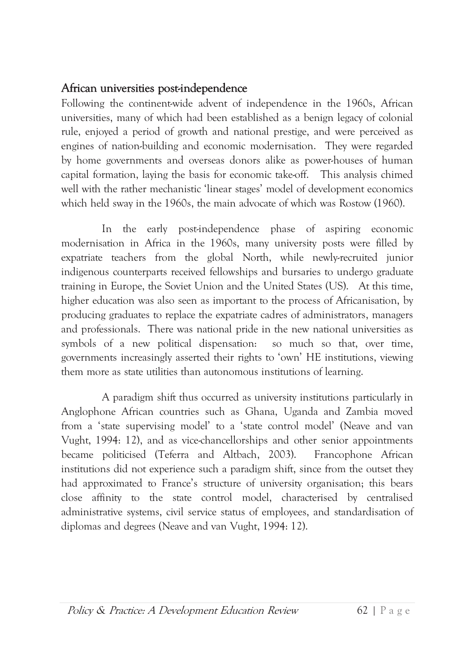#### African universities post-independence

Following the continent-wide advent of independence in the 1960s, African universities, many of which had been established as a benign legacy of colonial rule, enjoyed a period of growth and national prestige, and were perceived as engines of nation-building and economic modernisation. They were regarded by home governments and overseas donors alike as power-houses of human capital formation, laying the basis for economic take-off. This analysis chimed well with the rather mechanistic 'linear stages' model of development economics which held sway in the 1960s, the main advocate of which was Rostow (1960).

In the early post-independence phase of aspiring economic modernisation in Africa in the 1960s, many university posts were filled by expatriate teachers from the global North, while newly-recruited junior indigenous counterparts received fellowships and bursaries to undergo graduate training in Europe, the Soviet Union and the United States (US). At this time, higher education was also seen as important to the process of Africanisation, by producing graduates to replace the expatriate cadres of administrators, managers and professionals. There was national pride in the new national universities as symbols of a new political dispensation: so much so that, over time, governments increasingly asserted their rights to 'own' HE institutions, viewing them more as state utilities than autonomous institutions of learning.

A paradigm shift thus occurred as university institutions particularly in Anglophone African countries such as Ghana, Uganda and Zambia moved from a 'state supervising model' to a 'state control model' (Neave and van Vught, 1994: 12), and as vice-chancellorships and other senior appointments became politicised (Teferra and Altbach, 2003). Francophone African institutions did not experience such a paradigm shift, since from the outset they had approximated to France's structure of university organisation; this bears close affinity to the state control model, characterised by centralised administrative systems, civil service status of employees, and standardisation of diplomas and degrees (Neave and van Vught, 1994: 12).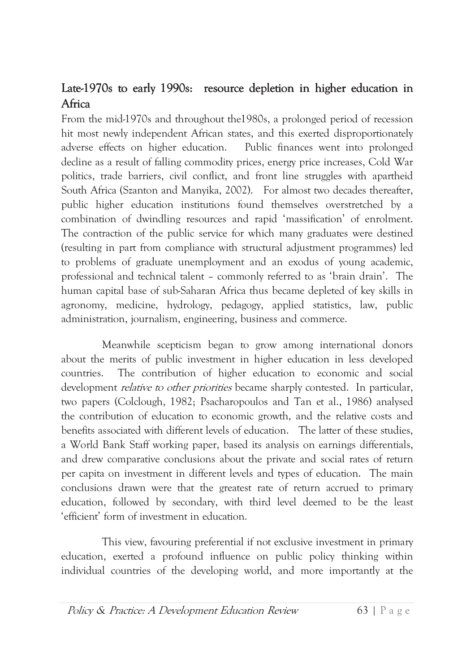### Late-1970s to early 1990s: resource depletion in higher education in Africa

From the mid-1970s and throughout the 1980s, a prolonged period of recession hit most newly independent African states, and this exerted disproportionately adverse effects on higher education. Public finances went into prolonged decline as a result of falling commodity prices, energy price increases, Cold War politics, trade barriers, civil conflict, and front line struggles with apartheid South Africa (Szanton and Manyika, 2002). For almost two decades thereafter, public higher education institutions found themselves overstretched by a combination of dwindling resources and rapid 'massification' of enrolment. The contraction of the public service for which many graduates were destined (resulting in part from compliance with structural adjustment programmes) led to problems of graduate unemployment and an exodus of young academic, professional and technical talent - commonly referred to as 'brain drain'. The human capital base of sub-Saharan Africa thus became depleted of key skills in agronomy, medicine, hydrology, pedagogy, applied statistics, law, public administration, journalism, engineering, business and commerce.

Meanwhile scepticism began to grow among international donors about the merits of public investment in higher education in less developed The contribution of higher education to economic and social countries. development *relative to other priorities* became sharply contested. In particular, two papers (Colclough, 1982; Psacharopoulos and Tan et al., 1986) analysed the contribution of education to economic growth, and the relative costs and benefits associated with different levels of education. The latter of these studies, a World Bank Staff working paper, based its analysis on earnings differentials, and drew comparative conclusions about the private and social rates of return per capita on investment in different levels and types of education. The main conclusions drawn were that the greatest rate of return accrued to primary education, followed by secondary, with third level deemed to be the least 'efficient' form of investment in education.

This view, favouring preferential if not exclusive investment in primary education, exerted a profound influence on public policy thinking within individual countries of the developing world, and more importantly at the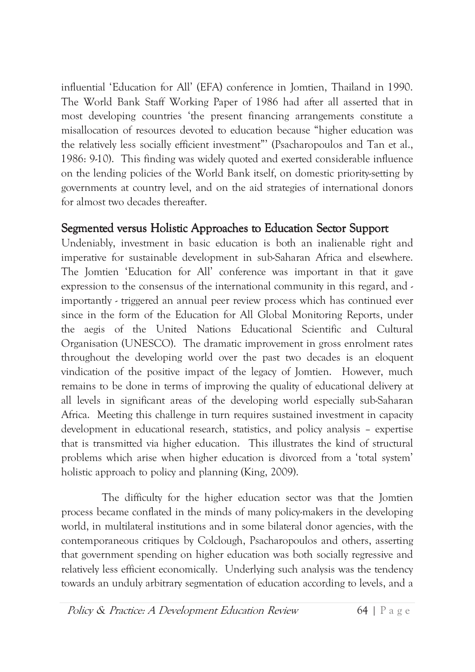influential 'Education for All' (EFA) conference in Jomtien, Thailand in 1990. The World Bank Staff Working Paper of 1986 had after all asserted that in most developing countries 'the present financing arrangements constitute a misallocation of resources devoted to education because "higher education was the relatively less socially efficient investment" (Psacharopoulos and Tan et al., 1986: 9-10). This finding was widely quoted and exerted considerable influence on the lending policies of the World Bank itself, on domestic priority-setting by governments at country level, and on the aid strategies of international donors for almost two decades thereafter.

#### Segmented versus Holistic Approaches to Education Sector Support

Undeniably, investment in basic education is both an inalienable right and imperative for sustainable development in sub-Saharan Africa and elsewhere. The Jomtien 'Education for All' conference was important in that it gave expression to the consensus of the international community in this regard, and importantly - triggered an annual peer review process which has continued ever since in the form of the Education for All Global Monitoring Reports, under the aegis of the United Nations Educational Scientific and Cultural Organisation (UNESCO). The dramatic improvement in gross enrolment rates throughout the developing world over the past two decades is an eloquent vindication of the positive impact of the legacy of Jomtien. However, much remains to be done in terms of improving the quality of educational delivery at all levels in significant areas of the developing world especially sub-Saharan Africa. Meeting this challenge in turn requires sustained investment in capacity development in educational research, statistics, and policy analysis – expertise that is transmitted via higher education. This illustrates the kind of structural problems which arise when higher education is divorced from a 'total system' holistic approach to policy and planning (King, 2009).

The difficulty for the higher education sector was that the Jomtien process became conflated in the minds of many policy-makers in the developing world, in multilateral institutions and in some bilateral donor agencies, with the contemporaneous critiques by Colclough, Psacharopoulos and others, asserting that government spending on higher education was both socially regressive and relatively less efficient economically. Underlying such analysis was the tendency towards an unduly arbitrary segmentation of education according to levels, and a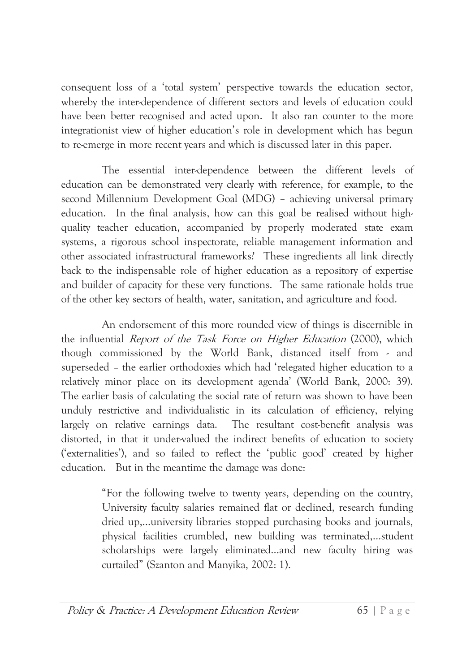consequent loss of a 'total system' perspective towards the education sector, whereby the inter-dependence of different sectors and levels of education could have been better recognised and acted upon. It also ran counter to the more integrationist view of higher education's role in development which has begun to re-emerge in more recent years and which is discussed later in this paper.

The essential inter-dependence between the different levels of education can be demonstrated very clearly with reference, for example, to the second Millennium Development Goal (MDG) - achieving universal primary education. In the final analysis, how can this goal be realised without highquality teacher education, accompanied by properly moderated state exam systems, a rigorous school inspectorate, reliable management information and other associated infrastructural frameworks? These ingredients all link directly back to the indispensable role of higher education as a repository of expertise and builder of capacity for these very functions. The same rationale holds true of the other key sectors of health, water, sanitation, and agriculture and food.

An endorsement of this more rounded view of things is discernible in the influential *Report of the Task Force on Higher Education* (2000), which though commissioned by the World Bank, distanced itself from - and superseded - the earlier orthodoxies which had 'relegated higher education to a relatively minor place on its development agenda' (World Bank, 2000: 39). The earlier basis of calculating the social rate of return was shown to have been unduly restrictive and individualistic in its calculation of efficiency, relying largely on relative earnings data. The resultant cost-benefit analysis was distorted, in that it under-valued the indirect benefits of education to society ('externalities'), and so failed to reflect the 'public good' created by higher education. But in the meantime the damage was done:

> "For the following twelve to twenty years, depending on the country, University faculty salaries remained flat or declined, research funding dried up,...university libraries stopped purchasing books and journals, physical facilities crumbled, new building was terminated,...student scholarships were largely eliminated...and new faculty hiring was curtailed" (Szanton and Manyika, 2002: 1).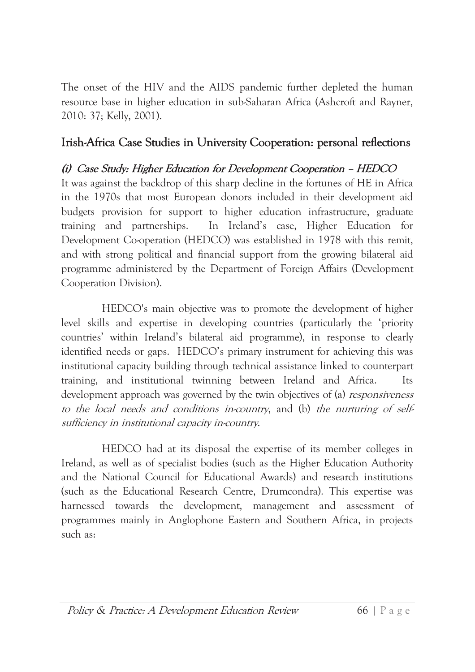The onset of the HIV and the AIDS pandemic further depleted the human resource base in higher education in sub-Saharan Africa (Ashcroft and Rayner, 2010: 37; Kelly, 2001).

### Irish-Africa Case Studies in University Cooperation: personal reflections

#### (i) Case Study: Higher Education for Development Cooperation - HEDCO

It was against the backdrop of this sharp decline in the fortunes of HE in Africa in the 1970s that most European donors included in their development aid budgets provision for support to higher education infrastructure, graduate In Ireland's case, Higher Education for training and partnerships. Development Co-operation (HEDCO) was established in 1978 with this remit, and with strong political and financial support from the growing bilateral aid programme administered by the Department of Foreign Affairs (Development Cooperation Division).

HEDCO's main objective was to promote the development of higher level skills and expertise in developing countries (particularly the 'priority countries' within Ireland's bilateral aid programme), in response to clearly identified needs or gaps. HEDCO's primary instrument for achieving this was institutional capacity building through technical assistance linked to counterpart training, and institutional twinning between Ireland and Africa. Its development approach was governed by the twin objectives of (a) *responsiveness* to the local needs and conditions in-country, and (b) the nurturing of selfsufficiency in institutional capacity in-country.

HEDCO had at its disposal the expertise of its member colleges in Ireland, as well as of specialist bodies (such as the Higher Education Authority and the National Council for Educational Awards) and research institutions (such as the Educational Research Centre, Drumcondra). This expertise was harnessed towards the development, management and assessment of programmes mainly in Anglophone Eastern and Southern Africa, in projects such as: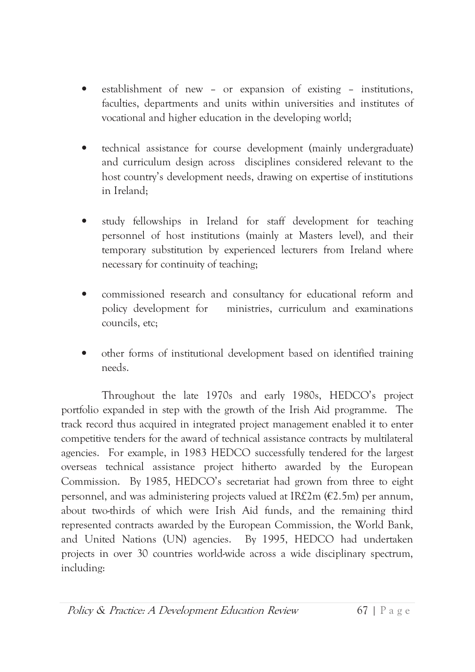- establishment of new or expansion of existing institutions, faculties, departments and units within universities and institutes of vocational and higher education in the developing world;
- technical assistance for course development (mainly undergraduate) and curriculum design across disciplines considered relevant to the host country's development needs, drawing on expertise of institutions in Ireland:
- study fellowships in Ireland for staff development for teaching  $\bullet$ personnel of host institutions (mainly at Masters level), and their temporary substitution by experienced lecturers from Ireland where necessary for continuity of teaching;
- commissioned research and consultancy for educational reform and  $\bullet$ policy development for ministries, curriculum and examinations councils, etc;
- other forms of institutional development based on identified training needs.

Throughout the late 1970s and early 1980s, HEDCO's project portfolio expanded in step with the growth of the Irish Aid programme. The track record thus acquired in integrated project management enabled it to enter competitive tenders for the award of technical assistance contracts by multilateral agencies. For example, in 1983 HEDCO successfully tendered for the largest overseas technical assistance project hitherto awarded by the European Commission. By 1985, HEDCO's secretariat had grown from three to eight personnel, and was administering projects valued at IR $f2m$  ( $E2.5m$ ) per annum. about two-thirds of which were Irish Aid funds, and the remaining third represented contracts awarded by the European Commission, the World Bank, and United Nations (UN) agencies. By 1995, HEDCO had undertaken projects in over 30 countries world-wide across a wide disciplinary spectrum, including: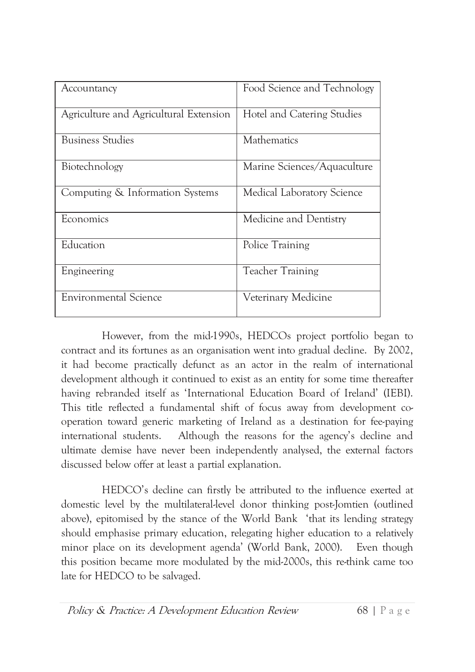| Accountancy                            | Food Science and Technology |
|----------------------------------------|-----------------------------|
| Agriculture and Agricultural Extension | Hotel and Catering Studies  |
| <b>Business Studies</b>                | Mathematics                 |
| Biotechnology                          | Marine Sciences/Aquaculture |
| Computing & Information Systems        | Medical Laboratory Science  |
| Economics                              | Medicine and Dentistry      |
| Education                              | Police Training             |
| Engineering                            | <b>Teacher Training</b>     |
| <b>Environmental Science</b>           | Veterinary Medicine         |

However, from the mid-1990s, HEDCOs project portfolio began to contract and its fortunes as an organisation went into gradual decline. By 2002, it had become practically defunct as an actor in the realm of international development although it continued to exist as an entity for some time thereafter having rebranded itself as 'International Education Board of Ireland' (IEBI). This title reflected a fundamental shift of focus away from development cooperation toward generic marketing of Ireland as a destination for fee-paying international students. Although the reasons for the agency's decline and ultimate demise have never been independently analysed, the external factors discussed below offer at least a partial explanation.

HEDCO's decline can firstly be attributed to the influence exerted at domestic level by the multilateral-level donor thinking post-Jomtien (outlined above), epitomised by the stance of the World Bank 'that its lending strategy should emphasise primary education, relegating higher education to a relatively minor place on its development agenda' (World Bank, 2000). Even though this position became more modulated by the mid-2000s, this re-think came too late for HEDCO to be salvaged.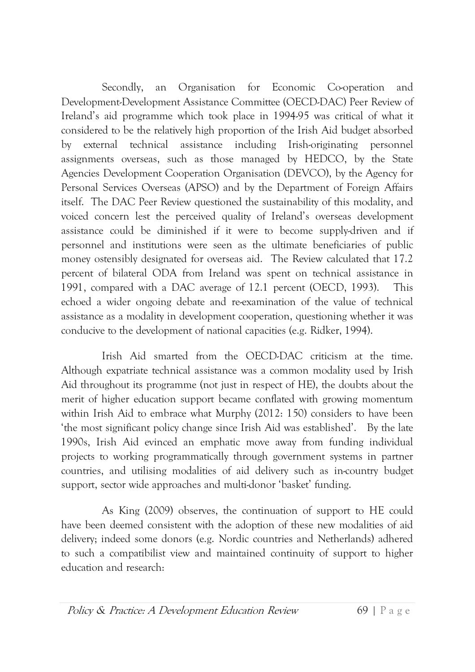an Organisation for Economic Co-operation Secondly. and Development-Development Assistance Committee (OECD-DAC) Peer Review of Ireland's aid programme which took place in 1994-95 was critical of what it considered to be the relatively high proportion of the Irish Aid budget absorbed technical assistance including Irish-originating by external personnel assignments overseas, such as those managed by HEDCO, by the State Agencies Development Cooperation Organisation (DEVCO), by the Agency for Personal Services Overseas (APSO) and by the Department of Foreign Affairs itself. The DAC Peer Review questioned the sustainability of this modality, and voiced concern lest the perceived quality of Ireland's overseas development assistance could be diminished if it were to become supply-driven and if personnel and institutions were seen as the ultimate beneficiaries of public money ostensibly designated for overseas aid. The Review calculated that 17.2 percent of bilateral ODA from Ireland was spent on technical assistance in 1991, compared with a DAC average of 12.1 percent (OECD, 1993). This echoed a wider ongoing debate and re-examination of the value of technical assistance as a modality in development cooperation, questioning whether it was conducive to the development of national capacities (e.g. Ridker, 1994).

Irish Aid smarted from the OECD-DAC criticism at the time. Although expatriate technical assistance was a common modality used by Irish Aid throughout its programme (not just in respect of HE), the doubts about the merit of higher education support became conflated with growing momentum within Irish Aid to embrace what Murphy (2012: 150) considers to have been 'the most significant policy change since Irish Aid was established'. By the late 1990s, Irish Aid evinced an emphatic move away from funding individual projects to working programmatically through government systems in partner countries, and utilising modalities of aid delivery such as in-country budget support, sector wide approaches and multi-donor 'basket' funding.

As King (2009) observes, the continuation of support to HE could have been deemed consistent with the adoption of these new modalities of aid delivery; indeed some donors (e.g. Nordic countries and Netherlands) adhered to such a compatibilist view and maintained continuity of support to higher education and research: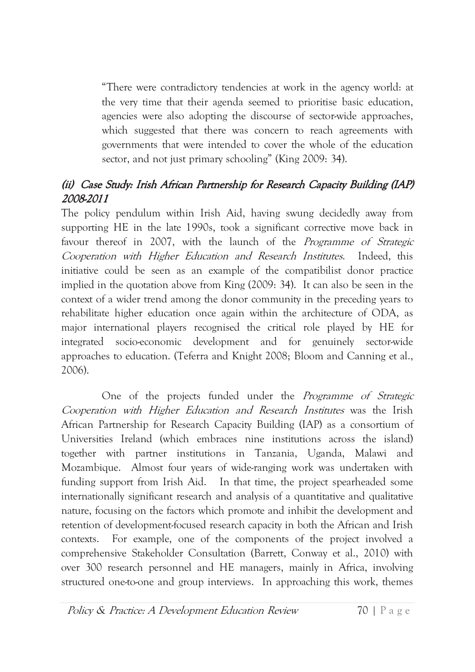"There were contradictory tendencies at work in the agency world: at the very time that their agenda seemed to prioritise basic education, agencies were also adopting the discourse of sector-wide approaches, which suggested that there was concern to reach agreements with governments that were intended to cover the whole of the education sector, and not just primary schooling" (King 2009: 34).

#### (ii) Case Study: Irish African Partnership for Research Capacity Building (IAP) 2008-2011

The policy pendulum within Irish Aid, having swung decidedly away from supporting HE in the late 1990s, took a significant corrective move back in favour thereof in 2007, with the launch of the *Programme of Strategic* Cooperation with Higher Education and Research Institutes. Indeed, this initiative could be seen as an example of the compatibilist donor practice implied in the quotation above from King (2009: 34). It can also be seen in the context of a wider trend among the donor community in the preceding years to rehabilitate higher education once again within the architecture of ODA, as major international players recognised the critical role played by HE for integrated socio-economic development and for genuinely sector-wide approaches to education. (Teferra and Knight 2008; Bloom and Canning et al., 2006).

One of the projects funded under the *Programme of Strategic* Cooperation with Higher Education and Research Institutes was the Irish African Partnership for Research Capacity Building (IAP) as a consortium of Universities Ireland (which embraces nine institutions across the island) together with partner institutions in Tanzania, Uganda, Malawi and Mozambique. Almost four years of wide-ranging work was undertaken with funding support from Irish Aid. In that time, the project spearheaded some internationally significant research and analysis of a quantitative and qualitative nature, focusing on the factors which promote and inhibit the development and retention of development-focused research capacity in both the African and Irish contexts. For example, one of the components of the project involved a comprehensive Stakeholder Consultation (Barrett, Conway et al., 2010) with over 300 research personnel and HE managers, mainly in Africa, involving structured one-to-one and group interviews. In approaching this work, themes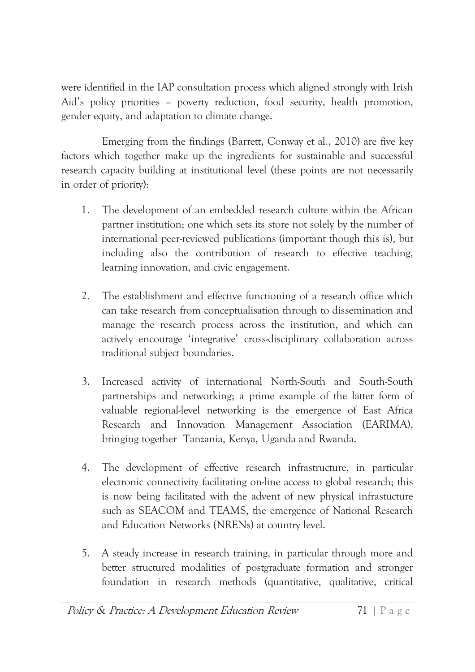were identified in the IAP consultation process which aligned strongly with Irish Aid's policy priorities - poverty reduction, food security, health promotion, gender equity, and adaptation to climate change.

Emerging from the findings (Barrett, Conway et al., 2010) are five key factors which together make up the ingredients for sustainable and successful research capacity building at institutional level (these points are not necessarily in order of priority):

- $1<sup>1</sup>$ The development of an embedded research culture within the African partner institution; one which sets its store not solely by the number of international peer-reviewed publications (important though this is), but including also the contribution of research to effective teaching, learning innovation, and civic engagement.
- $2.$ The establishment and effective functioning of a research office which can take research from conceptualisation through to dissemination and manage the research process across the institution, and which can actively encourage 'integrative' cross-disciplinary collaboration across traditional subject boundaries.
- Increased activity of international North-South and South-South  $3.$ partnerships and networking; a prime example of the latter form of valuable regional-level networking is the emergence of East Africa Research and Innovation Management Association (EARIMA), bringing together Tanzania, Kenya, Uganda and Rwanda.
- 4. The development of effective research infrastructure, in particular electronic connectivity facilitating on-line access to global research; this is now being facilitated with the advent of new physical infrastucture such as SEACOM and TEAMS, the emergence of National Research and Education Networks (NRENs) at country level.
- 5. A steady increase in research training, in particular through more and better structured modalities of postgraduate formation and stronger foundation in research methods (quantitative, qualitative, critical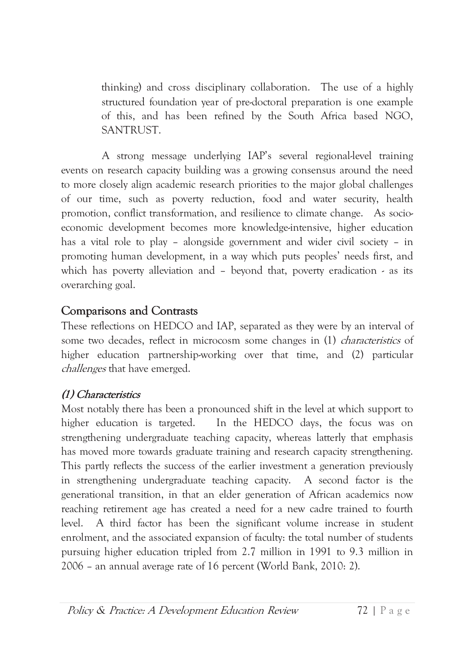thinking) and cross disciplinary collaboration. The use of a highly structured foundation year of pre-doctoral preparation is one example of this, and has been refined by the South Africa based NGO, SANTRUST.

A strong message underlying IAP's several regional-level training events on research capacity building was a growing consensus around the need to more closely align academic research priorities to the major global challenges of our time, such as poverty reduction, food and water security, health promotion, conflict transformation, and resilience to climate change. As socioeconomic development becomes more knowledge-intensive, higher education has a vital role to play - alongside government and wider civil society - in promoting human development, in a way which puts peoples' needs first, and which has poverty alleviation and - beyond that, poverty eradication - as its overarching goal.

#### **Comparisons and Contrasts**

These reflections on HEDCO and IAP, separated as they were by an interval of some two decades, reflect in microcosm some changes in (1) *characteristics* of higher education partnership-working over that time, and (2) particular *challenges* that have emerged.

#### (1) Characteristics

Most notably there has been a pronounced shift in the level at which support to higher education is targeted. In the HEDCO days, the focus was on strengthening undergraduate teaching capacity, whereas latterly that emphasis has moved more towards graduate training and research capacity strengthening. This partly reflects the success of the earlier investment a generation previously in strengthening undergraduate teaching capacity. A second factor is the generational transition, in that an elder generation of African academics now reaching retirement age has created a need for a new cadre trained to fourth A third factor has been the significant volume increase in student level. enrolment, and the associated expansion of faculty: the total number of students pursuing higher education tripled from 2.7 million in 1991 to 9.3 million in 2006 – an annual average rate of 16 percent (World Bank, 2010: 2).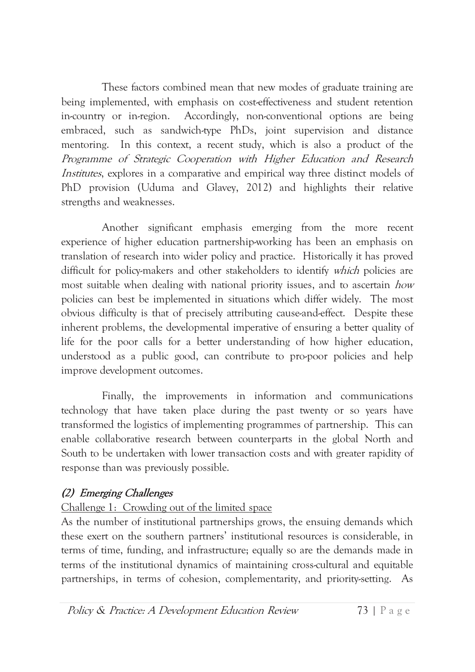These factors combined mean that new modes of graduate training are being implemented, with emphasis on cost-effectiveness and student retention in-country or in-region. Accordingly, non-conventional options are being embraced, such as sandwich-type PhDs, joint supervision and distance mentoring. In this context, a recent study, which is also a product of the Programme of Strategic Cooperation with Higher Education and Research *Institutes*, explores in a comparative and empirical way three distinct models of PhD provision (Uduma and Glavey, 2012) and highlights their relative strengths and weaknesses.

Another significant emphasis emerging from the more recent experience of higher education partnership-working has been an emphasis on translation of research into wider policy and practice. Historically it has proved difficult for policy-makers and other stakeholders to identify which policies are most suitable when dealing with national priority issues, and to ascertain how policies can best be implemented in situations which differ widely. The most obvious difficulty is that of precisely attributing cause-and-effect. Despite these inherent problems, the developmental imperative of ensuring a better quality of life for the poor calls for a better understanding of how higher education, understood as a public good, can contribute to pro-poor policies and help improve development outcomes.

Finally, the improvements in information and communications technology that have taken place during the past twenty or so years have transformed the logistics of implementing programmes of partnership. This can enable collaborative research between counterparts in the global North and South to be undertaken with lower transaction costs and with greater rapidity of response than was previously possible.

#### (2) Emerging Challenges

#### Challenge 1: Crowding out of the limited space

As the number of institutional partnerships grows, the ensuing demands which these exert on the southern partners' institutional resources is considerable, in terms of time, funding, and infrastructure; equally so are the demands made in terms of the institutional dynamics of maintaining cross-cultural and equitable partnerships, in terms of cohesion, complementarity, and priority-setting. As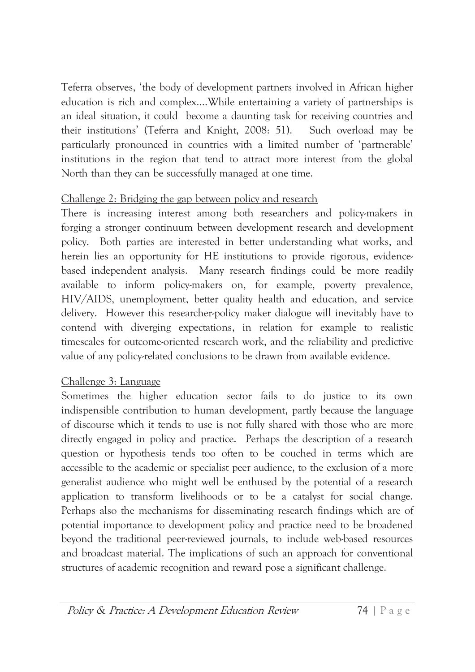Teferra observes, 'the body of development partners involved in African higher education is rich and complex....While entertaining a variety of partnerships is an ideal situation, it could become a daunting task for receiving countries and their institutions' (Teferra and Knight, 2008: 51). Such overload may be particularly pronounced in countries with a limited number of 'partnerable' institutions in the region that tend to attract more interest from the global North than they can be successfully managed at one time.

#### Challenge 2: Bridging the gap between policy and research

There is increasing interest among both researchers and policy-makers in forging a stronger continuum between development research and development policy. Both parties are interested in better understanding what works, and herein lies an opportunity for HE institutions to provide rigorous, evidencebased independent analysis. Many research findings could be more readily available to inform policy-makers on, for example, poverty prevalence, HIV/AIDS, unemployment, better quality health and education, and service delivery. However this researcher-policy maker dialogue will inevitably have to contend with diverging expectations, in relation for example to realistic timescales for outcome-oriented research work, and the reliability and predictive value of any policy-related conclusions to be drawn from available evidence.

#### Challenge 3: Language

Sometimes the higher education sector fails to do justice to its own indispensible contribution to human development, partly because the language of discourse which it tends to use is not fully shared with those who are more directly engaged in policy and practice. Perhaps the description of a research question or hypothesis tends too often to be couched in terms which are accessible to the academic or specialist peer audience, to the exclusion of a more generalist audience who might well be enthused by the potential of a research application to transform livelihoods or to be a catalyst for social change. Perhaps also the mechanisms for disseminating research findings which are of potential importance to development policy and practice need to be broadened beyond the traditional peer-reviewed journals, to include web-based resources and broadcast material. The implications of such an approach for conventional structures of academic recognition and reward pose a significant challenge.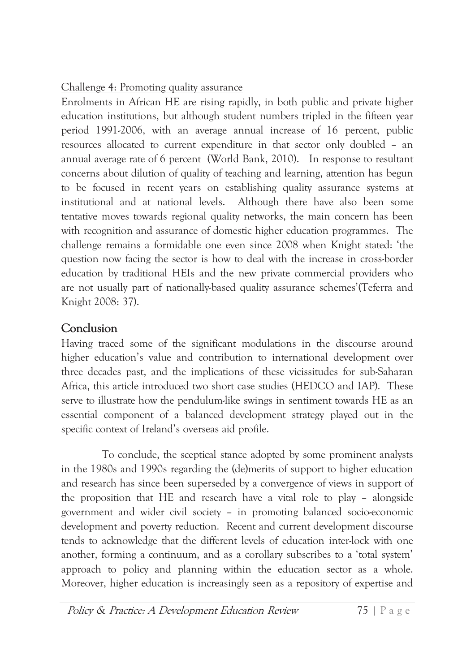Challenge 4: Promoting quality assurance

Enrolments in African HE are rising rapidly, in both public and private higher education institutions, but although student numbers tripled in the fifteen year period 1991-2006, with an average annual increase of 16 percent, public resources allocated to current expenditure in that sector only doubled - an annual average rate of 6 percent (World Bank, 2010). In response to resultant concerns about dilution of quality of teaching and learning, attention has begun to be focused in recent years on establishing quality assurance systems at institutional and at national levels. Although there have also been some tentative moves towards regional quality networks, the main concern has been with recognition and assurance of domestic higher education programmes. The challenge remains a formidable one even since 2008 when Knight stated: 'the question now facing the sector is how to deal with the increase in cross-border education by traditional HEIs and the new private commercial providers who are not usually part of nationally-based quality assurance schemes' (Teferra and Knight 2008: 37).

### Conclusion

Having traced some of the significant modulations in the discourse around higher education's value and contribution to international development over three decades past, and the implications of these vicissitudes for sub-Saharan Africa, this article introduced two short case studies (HEDCO and IAP). These serve to illustrate how the pendulum-like swings in sentiment towards HE as an essential component of a balanced development strategy played out in the specific context of Ireland's overseas aid profile.

To conclude, the sceptical stance adopted by some prominent analysts in the 1980s and 1990s regarding the (de)merits of support to higher education and research has since been superseded by a convergence of views in support of the proposition that HE and research have a vital role to play - alongside government and wider civil society - in promoting balanced socio-economic development and poverty reduction. Recent and current development discourse tends to acknowledge that the different levels of education inter-lock with one another, forming a continuum, and as a corollary subscribes to a 'total system' approach to policy and planning within the education sector as a whole. Moreover, higher education is increasingly seen as a repository of expertise and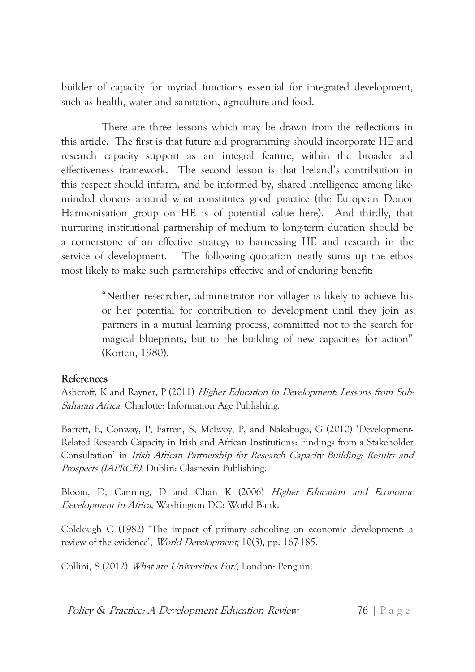builder of capacity for myriad functions essential for integrated development, such as health, water and sanitation, agriculture and food.

There are three lessons which may be drawn from the reflections in this article. The first is that future aid programming should incorporate HE and research capacity support as an integral feature, within the broader aid effectiveness framework. The second lesson is that Ireland's contribution in this respect should inform, and be informed by, shared intelligence among likeminded donors around what constitutes good practice (the European Donor Harmonisation group on HE is of potential value here). And thirdly, that nurturing institutional partnership of medium to long-term duration should be a cornerstone of an effective strategy to harnessing HE and research in the service of development. The following quotation neatly sums up the ethos most likely to make such partnerships effective and of enduring benefit:

> "Neither researcher, administrator nor villager is likely to achieve his or her potential for contribution to development until they ioin as partners in a mutual learning process, committed not to the search for magical blueprints, but to the building of new capacities for action" (Korten, 1980).

#### References

Ashcroft, K and Rayner, P (2011) Higher Education in Development: Lessons from Sub-Saharan Africa, Charlotte: Information Age Publishing.

Barrett, E, Conway, P, Farren, S, McEvoy, P, and Nakabugo, G (2010) 'Development-Related Research Capacity in Irish and African Institutions: Findings from a Stakeholder Consultation' in *Irish African Partnership for Research Capacity Building: Results and* Prospects (IAPRCB), Dublin: Glasnevin Publishing.

Bloom, D, Canning, D and Chan K (2006) Higher Education and Economic Development in Africa, Washington DC: World Bank.

Colclough C (1982) 'The impact of primary schooling on economic development: a review of the evidence', World Development, 10(3), pp. 167-185.

Collini, S (2012) What are Universities For.', London: Penguin.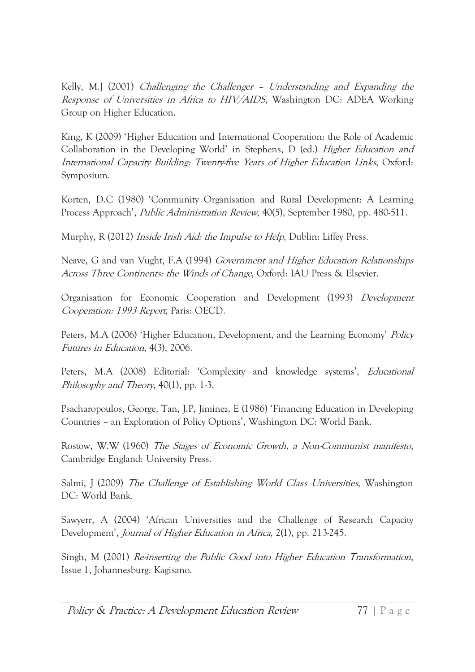Kelly, M.J (2001) Challenging the Challenger - Understanding and Expanding the Response of Universities in Africa to HIV/AIDS, Washington DC: ADEA Working Group on Higher Education.

King, K (2009) 'Higher Education and International Cooperation: the Role of Academic Collaboration in the Developing World' in Stephens, D (ed.) *Higher Education and* International Capacity Building: Twenty-five Years of Higher Education Links, Oxford: Symposium.

Korten, D.C (1980) 'Community Organisation and Rural Development: A Learning Process Approach', *Public Administration Review*, 40(5), September 1980, pp. 480-511.

Murphy, R (2012) *Inside Irish Aid: the Impulse to Help*, Dublin: Liffey Press.

Neave, G and van Vught, F.A (1994) Government and Higher Education Relationships Across Three Continents: the Winds of Change, Oxford: IAU Press & Elsevier.

Organisation for Economic Cooperation and Development (1993) Development Cooperation: 1993 Report, Paris: OECD.

Peters, M.A (2006) 'Higher Education, Development, and the Learning Economy' *Policy* Futures in Education, 4(3), 2006.

Peters, M.A (2008) Editorial: 'Complexity and knowledge systems', *Educational* Philosophy and Theory,  $40(1)$ , pp. 1-3.

Psacharopoulos, George, Tan, J.P., Jiminez, E (1986) 'Financing Education in Developing Countries - an Exploration of Policy Options', Washington DC: World Bank.

Rostow, W.W (1960) The Stages of Economic Growth, a Non-Communist manifesto, Cambridge England: University Press.

Salmi, J (2009) The Challenge of Establishing World Class Universities, Washington DC: World Bank.

Sawyerr, A (2004) 'African Universities and the Challenge of Research Capacity Development', *Journal of Higher Education in Africa*, 2(1), pp. 213-245.

Singh, M (2001) Re-inserting the Public Good into Higher Education Transformation, Issue 1, Johannesburg: Kagisano.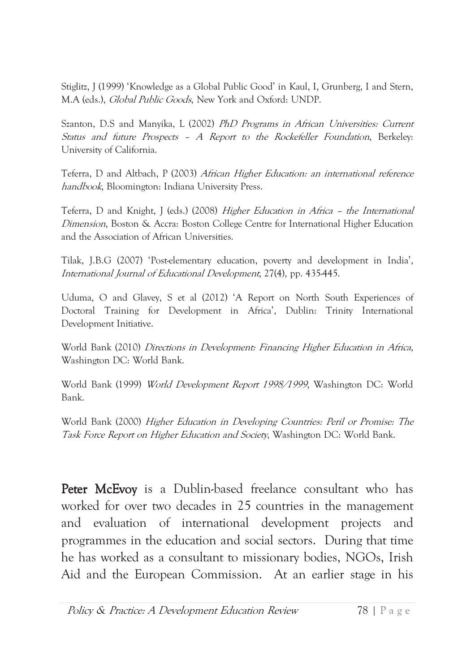Stiglitz, J (1999) 'Knowledge as a Global Public Good' in Kaul, I, Grunberg, I and Stern, M.A (eds.), Global Public Goods, New York and Oxford: UNDP.

Szanton, D.S and Manyika, L (2002) PhD Programs in African Universities: Current Status and future Prospects - A Report to the Rockefeller Foundation, Berkeley: University of California.

Teferra, D and Altbach, P (2003) African Higher Education: an international reference *handbook*, Bloomington: Indiana University Press.

Teferra, D and Knight, J (eds.) (2008) Higher Education in Africa - the International *Dimension*, Boston & Accra: Boston College Centre for International Higher Education and the Association of African Universities.

Tilak, J.B.G (2007) 'Post-elementary education, poverty and development in India', International Journal of Educational Development, 27(4), pp. 435-445.

Uduma, O and Glavey, S et al (2012) 'A Report on North South Experiences of Doctoral Training for Development in Africa', Dublin: Trinity International Development Initiative.

World Bank (2010) Directions in Development: Financing Higher Education in Africa, Washington DC: World Bank.

World Bank (1999) World Development Report 1998/1999, Washington DC: World Bank.

World Bank (2000) Higher Education in Developing Countries: Peril or Promise: The Task Force Report on Higher Education and Society, Washington DC: World Bank.

Peter McEvoy is a Dublin-based freelance consultant who has worked for over two decades in 25 countries in the management and evaluation of international development projects and programmes in the education and social sectors. During that time he has worked as a consultant to missionary bodies, NGOs, Irish Aid and the European Commission. At an earlier stage in his